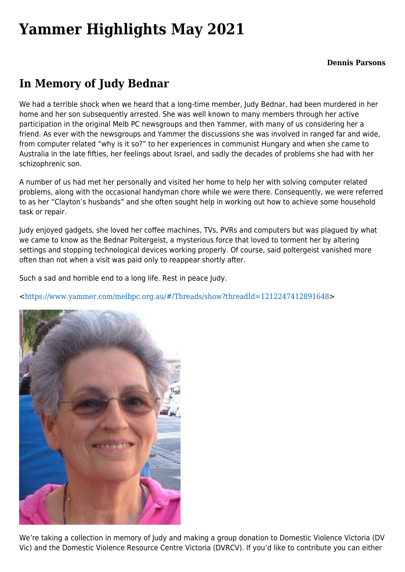## **[Yammer Highlights May 2021](https://www.melbpc.org.au/yammer-highlights-may-2021/)**

## **In Memory of Judy Bednar**

We had a terrible shock when we heard that a long-time member, Judy Bednar, had been murdered in her home and her son subsequently arrested. She was well known to many members through her active participation in the original Melb PC newsgroups and then Yammer, with many of us considering her a friend. As ever with the newsgroups and Yammer the discussions she was involved in ranged far and wide, from computer related "why is it so?" to her experiences in communist Hungary and when she came to Australia in the late fifties, her feelings about Israel, and sadly the decades of problems she had with her schizophrenic son.

A number of us had met her personally and visited her home to help her with solving computer related problems, along with the occasional handyman chore while we were there. Consequently, we were referred to as her "Clayton's husbands" and she often sought help in working out how to achieve some household task or repair.

Judy enjoyed gadgets, she loved her coffee machines, TVs, PVRs and computers but was plagued by what we came to know as the Bednar Poltergeist, a mysterious force that loved to torment her by altering settings and stopping technological devices working properly. Of course, said poltergeist vanished more often than not when a visit was paid only to reappear shortly after.

Such a sad and horrible end to a long life. Rest in peace Judy.

<<https://www.yammer.com/melbpc.org.au/#/Threads/show?threadId=1212247412891648>>



We're taking a collection in memory of Judy and making a group donation to Domestic Violence Victoria (DV Vic) and the Domestic Violence Resource Centre Victoria (DVRCV). If you'd like to contribute you can either